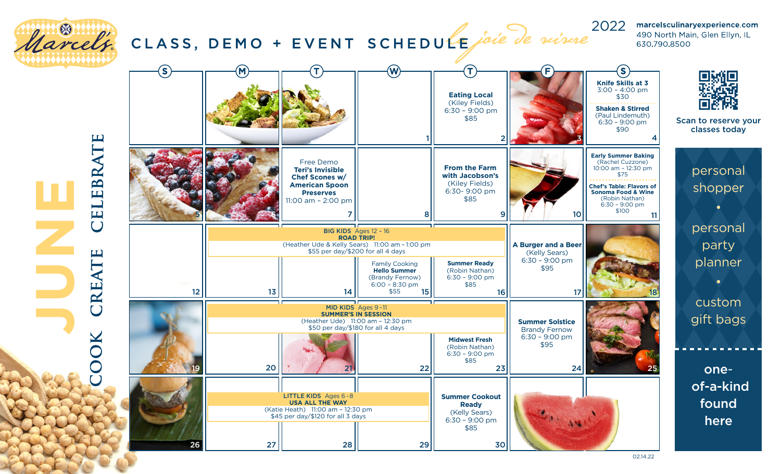